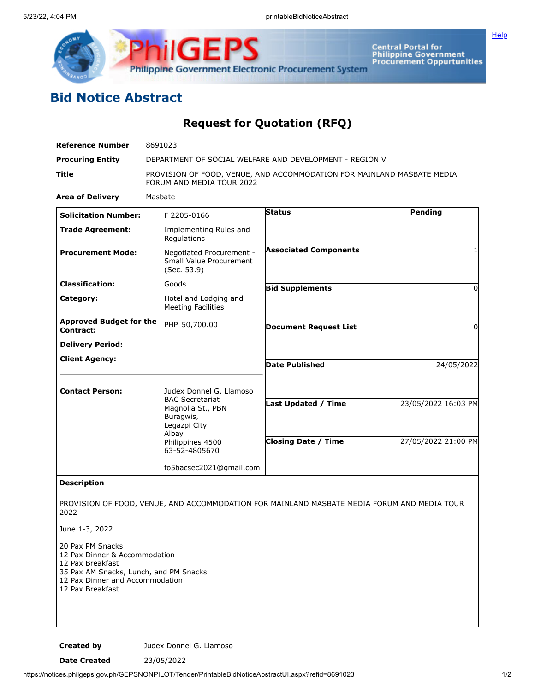

**ilGEPS Philippine Government Electronic Procurement System** 

Central Portal for<br>Philippine Government<br>Procurement Oppurtunities

## **Bid Notice Abstract**

**Request for Quotation (RFQ)**

| <b>Reference Number</b>                     | 8691023                                                                                             |                              |                     |
|---------------------------------------------|-----------------------------------------------------------------------------------------------------|------------------------------|---------------------|
| <b>Procuring Entity</b>                     | DEPARTMENT OF SOCIAL WELFARE AND DEVELOPMENT - REGION V                                             |                              |                     |
| Title                                       | PROVISION OF FOOD, VENUE, AND ACCOMMODATION FOR MAINLAND MASBATE MEDIA<br>FORUM AND MEDIA TOUR 2022 |                              |                     |
| <b>Area of Delivery</b>                     | Masbate                                                                                             |                              |                     |
| <b>Solicitation Number:</b>                 | F 2205-0166                                                                                         | <b>Status</b>                | Pending             |
| <b>Trade Agreement:</b>                     | Implementing Rules and<br>Regulations                                                               |                              |                     |
| <b>Procurement Mode:</b>                    | Negotiated Procurement -<br>Small Value Procurement<br>(Sec. 53.9)                                  | <b>Associated Components</b> | 1                   |
| <b>Classification:</b>                      | Goods                                                                                               | <b>Bid Supplements</b>       | 0                   |
| Category:                                   | Hotel and Lodging and<br><b>Meeting Facilities</b>                                                  |                              |                     |
| <b>Approved Budget for the</b><br>Contract: | PHP 50,700.00                                                                                       | <b>Document Request List</b> | 0                   |
| <b>Delivery Period:</b>                     |                                                                                                     |                              |                     |
| <b>Client Agency:</b>                       |                                                                                                     | <b>Date Published</b>        | 24/05/2022          |
| <b>Contact Person:</b>                      | Judex Donnel G. Llamoso<br><b>BAC Secretariat</b><br>Magnolia St., PBN<br>Buragwis,<br>Legazpi City |                              |                     |
|                                             |                                                                                                     | <b>Last Updated / Time</b>   | 23/05/2022 16:03 PM |
|                                             | Albay<br>Philippines 4500<br>63-52-4805670                                                          | <b>Closing Date / Time</b>   | 27/05/2022 21:00 PM |
|                                             | fo5bacsec2021@gmail.com                                                                             |                              |                     |
| <b>Description</b>                          |                                                                                                     |                              |                     |
| 2022                                        | PROVISION OF FOOD, VENUE, AND ACCOMMODATION FOR MAINLAND MASBATE MEDIA FORUM AND MEDIA TOUR         |                              |                     |

June 1-3, 2022

- 20 Pax PM Snacks
- 12 Pax Dinner & Accommodation
- 12 Pax Breakfast
- 35 Pax AM Snacks, Lunch, and PM Snacks
- 12 Pax Dinner and Accommodation
- 12 Pax Breakfast

**Created by Judex Donnel G. Llamoso** 

**Date Created** 23/05/2022